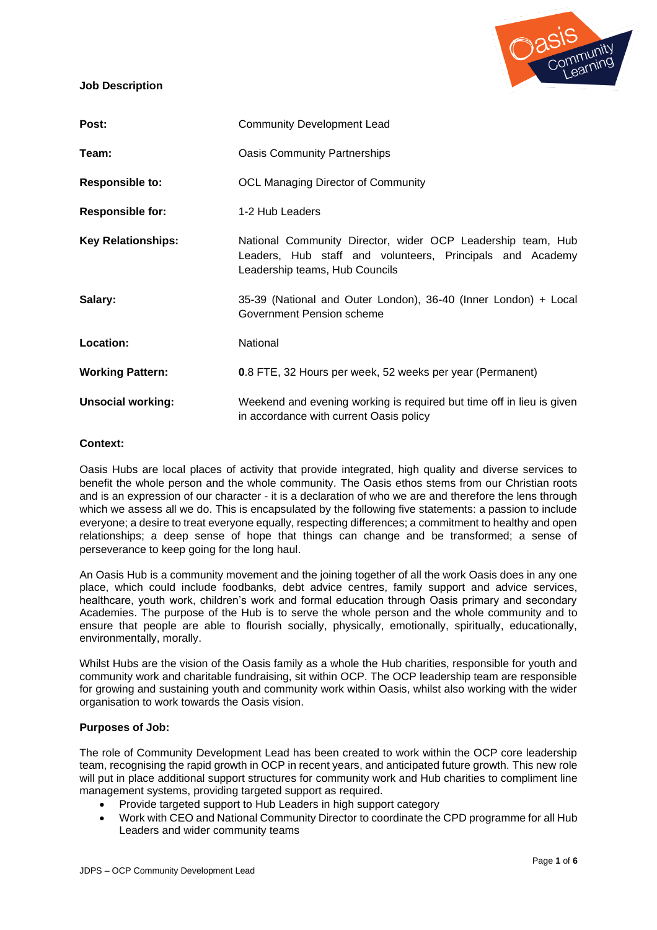**Job Description**



| Post:                     | <b>Community Development Lead</b>                                                                                                                          |  |
|---------------------------|------------------------------------------------------------------------------------------------------------------------------------------------------------|--|
| Team:                     | <b>Oasis Community Partnerships</b>                                                                                                                        |  |
| <b>Responsible to:</b>    | <b>OCL Managing Director of Community</b>                                                                                                                  |  |
| <b>Responsible for:</b>   | 1-2 Hub Leaders                                                                                                                                            |  |
| <b>Key Relationships:</b> | National Community Director, wider OCP Leadership team, Hub<br>Leaders, Hub staff and volunteers, Principals and Academy<br>Leadership teams, Hub Councils |  |
| Salary:                   | 35-39 (National and Outer London), 36-40 (Inner London) + Local<br>Government Pension scheme                                                               |  |
| Location:                 | National                                                                                                                                                   |  |
| <b>Working Pattern:</b>   | 0.8 FTE, 32 Hours per week, 52 weeks per year (Permanent)                                                                                                  |  |
| <b>Unsocial working:</b>  | Weekend and evening working is required but time off in lieu is given<br>in accordance with current Oasis policy                                           |  |

### **Context:**

Oasis Hubs are local places of activity that provide integrated, high quality and diverse services to benefit the whole person and the whole community. The Oasis ethos stems from our Christian roots and is an expression of our character - it is a declaration of who we are and therefore the lens through which we assess all we do. This is encapsulated by the following five statements: a passion to include everyone; a desire to treat everyone equally, respecting differences; a commitment to healthy and open relationships; a deep sense of hope that things can change and be transformed; a sense of perseverance to keep going for the long haul.

An Oasis Hub is a community movement and the joining together of all the work Oasis does in any one place, which could include foodbanks, debt advice centres, family support and advice services, healthcare, youth work, children's work and formal education through Oasis primary and secondary Academies. The purpose of the Hub is to serve the whole person and the whole community and to ensure that people are able to flourish socially, physically, emotionally, spiritually, educationally, environmentally, morally.

Whilst Hubs are the vision of the Oasis family as a whole the Hub charities, responsible for youth and community work and charitable fundraising, sit within OCP. The OCP leadership team are responsible for growing and sustaining youth and community work within Oasis, whilst also working with the wider organisation to work towards the Oasis vision.

## **Purposes of Job:**

The role of Community Development Lead has been created to work within the OCP core leadership team, recognising the rapid growth in OCP in recent years, and anticipated future growth. This new role will put in place additional support structures for community work and Hub charities to compliment line management systems, providing targeted support as required.

- Provide targeted support to Hub Leaders in high support category
- Work with CEO and National Community Director to coordinate the CPD programme for all Hub Leaders and wider community teams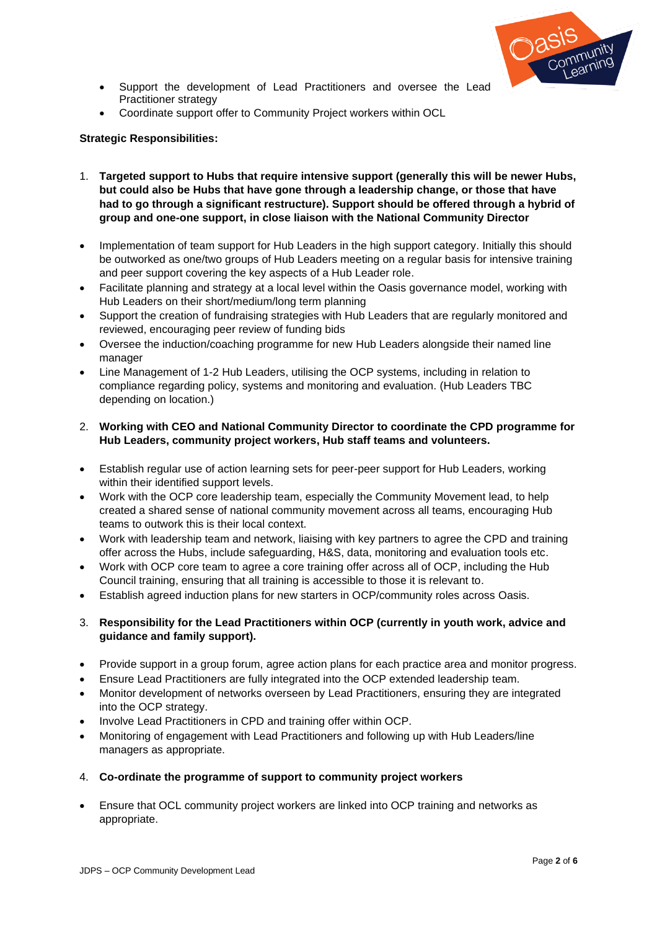

- Support the development of Lead Practitioners and oversee the Lead Practitioner strategy
- Coordinate support offer to Community Project workers within OCL

## **Strategic Responsibilities:**

- 1. **Targeted support to Hubs that require intensive support (generally this will be newer Hubs, but could also be Hubs that have gone through a leadership change, or those that have had to go through a significant restructure). Support should be offered through a hybrid of group and one-one support, in close liaison with the National Community Director**
- Implementation of team support for Hub Leaders in the high support category. Initially this should be outworked as one/two groups of Hub Leaders meeting on a regular basis for intensive training and peer support covering the key aspects of a Hub Leader role.
- Facilitate planning and strategy at a local level within the Oasis governance model, working with Hub Leaders on their short/medium/long term planning
- Support the creation of fundraising strategies with Hub Leaders that are regularly monitored and reviewed, encouraging peer review of funding bids
- Oversee the induction/coaching programme for new Hub Leaders alongside their named line manager
- Line Management of 1-2 Hub Leaders, utilising the OCP systems, including in relation to compliance regarding policy, systems and monitoring and evaluation. (Hub Leaders TBC depending on location.)
- 2. **Working with CEO and National Community Director to coordinate the CPD programme for Hub Leaders, community project workers, Hub staff teams and volunteers.**
- Establish regular use of action learning sets for peer-peer support for Hub Leaders, working within their identified support levels.
- Work with the OCP core leadership team, especially the Community Movement lead, to help created a shared sense of national community movement across all teams, encouraging Hub teams to outwork this is their local context.
- Work with leadership team and network, liaising with key partners to agree the CPD and training offer across the Hubs, include safeguarding, H&S, data, monitoring and evaluation tools etc.
- Work with OCP core team to agree a core training offer across all of OCP, including the Hub Council training, ensuring that all training is accessible to those it is relevant to.
- Establish agreed induction plans for new starters in OCP/community roles across Oasis.

# 3. **Responsibility for the Lead Practitioners within OCP (currently in youth work, advice and guidance and family support).**

- Provide support in a group forum, agree action plans for each practice area and monitor progress.
- Ensure Lead Practitioners are fully integrated into the OCP extended leadership team.
- Monitor development of networks overseen by Lead Practitioners, ensuring they are integrated into the OCP strategy.
- Involve Lead Practitioners in CPD and training offer within OCP.
- Monitoring of engagement with Lead Practitioners and following up with Hub Leaders/line managers as appropriate.
- 4. **Co-ordinate the programme of support to community project workers**
- Ensure that OCL community project workers are linked into OCP training and networks as appropriate.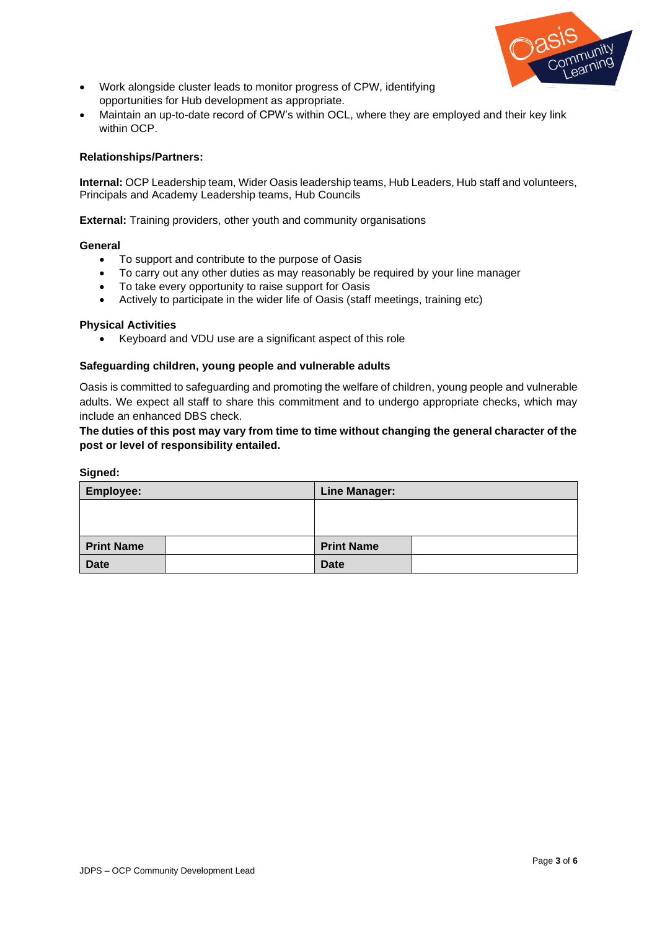

- Work alongside cluster leads to monitor progress of CPW, identifying opportunities for Hub development as appropriate.
- Maintain an up-to-date record of CPW's within OCL, where they are employed and their key link within OCP.

### **Relationships/Partners:**

**Internal:** OCP Leadership team, Wider Oasis leadership teams, Hub Leaders, Hub staff and volunteers, Principals and Academy Leadership teams, Hub Councils

**External:** Training providers, other youth and community organisations

### **General**

- To support and contribute to the purpose of Oasis
- To carry out any other duties as may reasonably be required by your line manager
- To take every opportunity to raise support for Oasis
- Actively to participate in the wider life of Oasis (staff meetings, training etc)

### **Physical Activities**

• Keyboard and VDU use are a significant aspect of this role

### **Safeguarding children, young people and vulnerable adults**

Oasis is committed to safeguarding and promoting the welfare of children, young people and vulnerable adults. We expect all staff to share this commitment and to undergo appropriate checks, which may include an enhanced DBS check.

**The duties of this post may vary from time to time without changing the general character of the post or level of responsibility entailed.** 

#### **Signed:**

| <b>Employee:</b>  | <b>Line Manager:</b> |  |
|-------------------|----------------------|--|
|                   |                      |  |
|                   |                      |  |
| <b>Print Name</b> | <b>Print Name</b>    |  |
| <b>Date</b>       | <b>Date</b>          |  |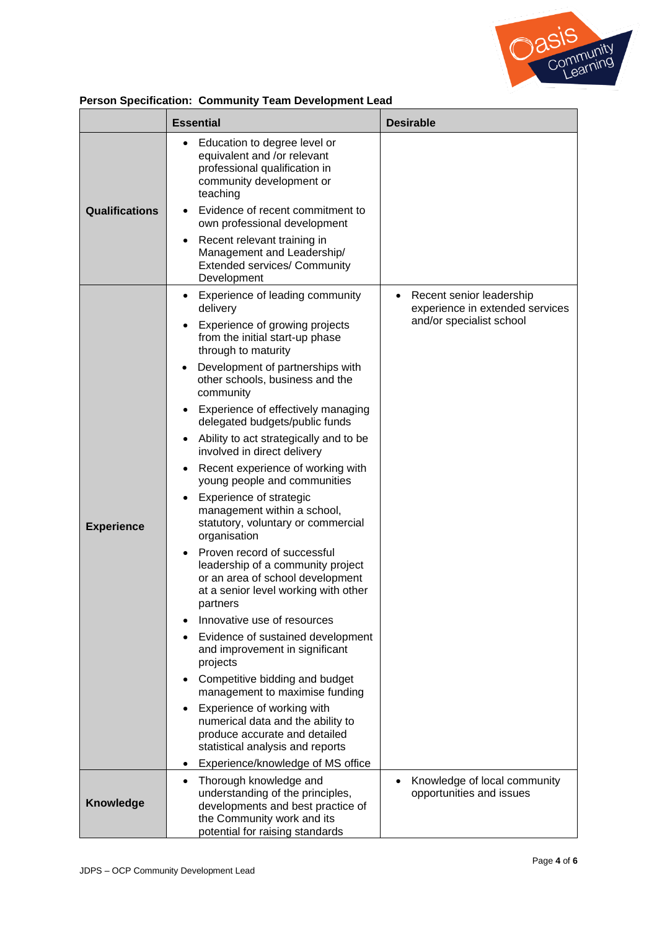

| Person Specification: Community Team Development Lead |  |  |
|-------------------------------------------------------|--|--|
|                                                       |  |  |

|                       | <b>Essential</b>                                                                                                                                                                                                                                                                                                                                                                                                                                                                                                                                                                                                                                                                                                                                                                                                                                                   | <b>Desirable</b>                                                                                     |
|-----------------------|--------------------------------------------------------------------------------------------------------------------------------------------------------------------------------------------------------------------------------------------------------------------------------------------------------------------------------------------------------------------------------------------------------------------------------------------------------------------------------------------------------------------------------------------------------------------------------------------------------------------------------------------------------------------------------------------------------------------------------------------------------------------------------------------------------------------------------------------------------------------|------------------------------------------------------------------------------------------------------|
| <b>Qualifications</b> | Education to degree level or<br>equivalent and /or relevant<br>professional qualification in<br>community development or<br>teaching<br>Evidence of recent commitment to<br>$\bullet$<br>own professional development<br>Recent relevant training in<br>٠<br>Management and Leadership/<br><b>Extended services/ Community</b><br>Development                                                                                                                                                                                                                                                                                                                                                                                                                                                                                                                      |                                                                                                      |
| <b>Experience</b>     | Experience of leading community<br>$\bullet$<br>delivery<br>Experience of growing projects<br>from the initial start-up phase<br>through to maturity<br>Development of partnerships with<br>٠<br>other schools, business and the<br>community<br>Experience of effectively managing<br>delegated budgets/public funds<br>Ability to act strategically and to be<br>involved in direct delivery<br>Recent experience of working with<br>young people and communities<br>Experience of strategic<br>management within a school,<br>statutory, voluntary or commercial<br>organisation<br>Proven record of successful<br>$\bullet$<br>leadership of a community project<br>or an area of school development<br>at a senior level working with other<br>partners<br>Innovative use of resources<br>Evidence of sustained development<br>and improvement in significant | Recent senior leadership<br>$\bullet$<br>experience in extended services<br>and/or specialist school |
|                       | projects<br>Competitive bidding and budget<br>management to maximise funding<br>Experience of working with<br>$\bullet$<br>numerical data and the ability to<br>produce accurate and detailed<br>statistical analysis and reports<br>Experience/knowledge of MS office                                                                                                                                                                                                                                                                                                                                                                                                                                                                                                                                                                                             |                                                                                                      |
| <b>Knowledge</b>      | Thorough knowledge and<br>$\bullet$<br>understanding of the principles,<br>developments and best practice of<br>the Community work and its<br>potential for raising standards                                                                                                                                                                                                                                                                                                                                                                                                                                                                                                                                                                                                                                                                                      | Knowledge of local community<br>opportunities and issues                                             |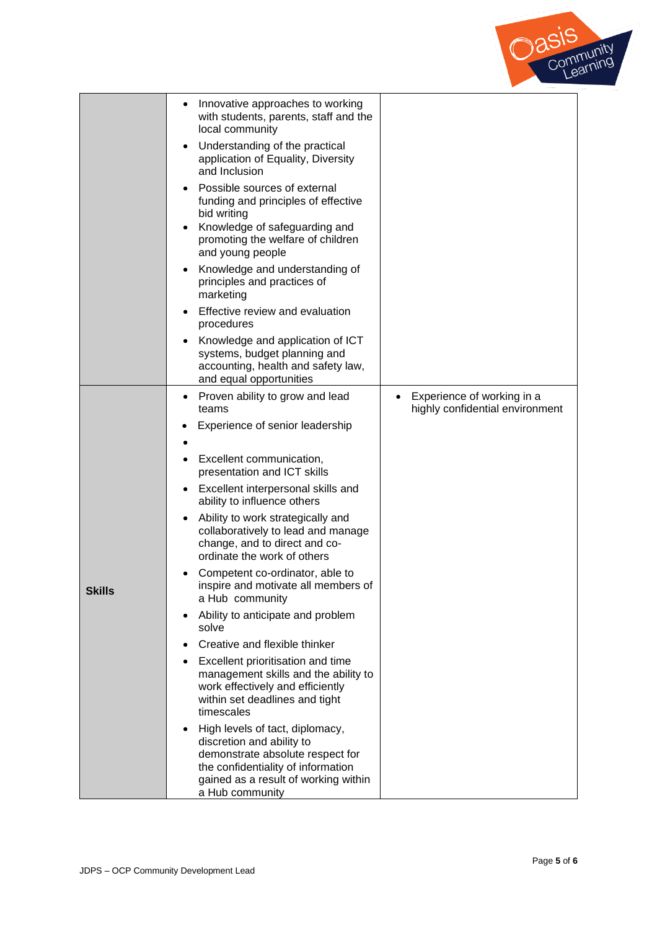

|               | Innovative approaches to working<br>$\bullet$<br>with students, parents, staff and the<br>local community                                                                                                      |                                                               |
|---------------|----------------------------------------------------------------------------------------------------------------------------------------------------------------------------------------------------------------|---------------------------------------------------------------|
|               | Understanding of the practical<br>$\bullet$<br>application of Equality, Diversity<br>and Inclusion                                                                                                             |                                                               |
|               | Possible sources of external<br>funding and principles of effective<br>bid writing<br>Knowledge of safeguarding and<br>promoting the welfare of children<br>and young people                                   |                                                               |
|               | Knowledge and understanding of<br>٠<br>principles and practices of<br>marketing                                                                                                                                |                                                               |
|               | Effective review and evaluation<br>procedures                                                                                                                                                                  |                                                               |
|               | Knowledge and application of ICT<br>systems, budget planning and<br>accounting, health and safety law,<br>and equal opportunities                                                                              |                                                               |
|               | Proven ability to grow and lead<br>٠<br>teams                                                                                                                                                                  | Experience of working in a<br>highly confidential environment |
|               | Experience of senior leadership                                                                                                                                                                                |                                                               |
|               | Excellent communication,<br>presentation and ICT skills                                                                                                                                                        |                                                               |
|               | Excellent interpersonal skills and<br>$\bullet$<br>ability to influence others                                                                                                                                 |                                                               |
|               | Ability to work strategically and<br>collaboratively to lead and manage<br>change, and to direct and co-<br>ordinate the work of others                                                                        |                                                               |
| <b>Skills</b> | Competent co-ordinator, able to<br>inspire and motivate all members of<br>a Hub community                                                                                                                      |                                                               |
|               | Ability to anticipate and problem<br>$\bullet$<br>solve                                                                                                                                                        |                                                               |
|               | Creative and flexible thinker                                                                                                                                                                                  |                                                               |
|               | Excellent prioritisation and time<br>$\bullet$<br>management skills and the ability to<br>work effectively and efficiently<br>within set deadlines and tight<br>timescales                                     |                                                               |
|               | High levels of tact, diplomacy,<br>$\bullet$<br>discretion and ability to<br>demonstrate absolute respect for<br>the confidentiality of information<br>gained as a result of working within<br>a Hub community |                                                               |